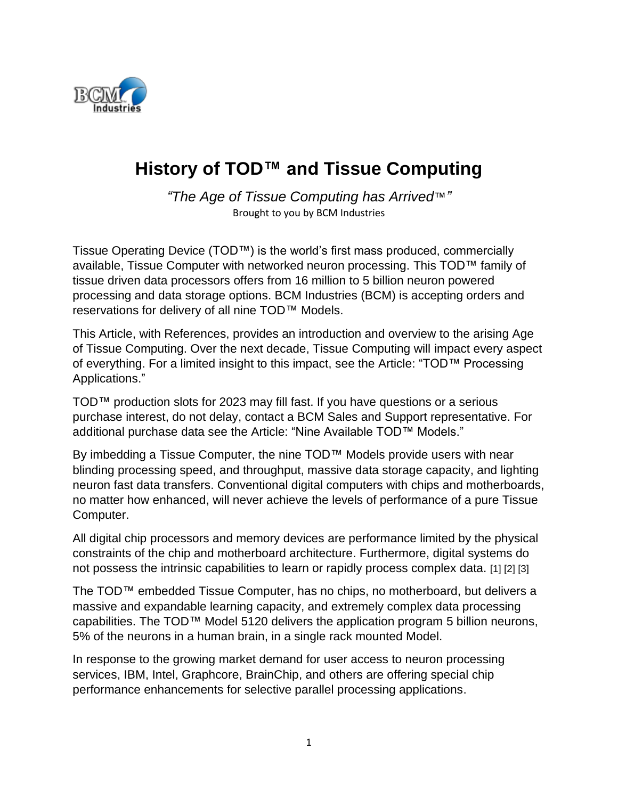

# **History of TOD™ and Tissue Computing**

*"The Age of Tissue Computing has Arrived*™*"* Brought to you by BCM Industries

Tissue Operating Device (TOD™) is the world's first mass produced, commercially available, Tissue Computer with networked neuron processing. This TOD™ family of tissue driven data processors offers from 16 million to 5 billion neuron powered processing and data storage options. BCM Industries (BCM) is accepting orders and reservations for delivery of all nine TOD™ Models.

This Article, with References, provides an introduction and overview to the arising Age of Tissue Computing. Over the next decade, Tissue Computing will impact every aspect of everything. For a limited insight to this impact, see the Article: "TOD™ Processing Applications."

TOD™ production slots for 2023 may fill fast. If you have questions or a serious purchase interest, do not delay, contact a BCM Sales and Support representative. For additional purchase data see the Article: "Nine Available TOD™ Models."

By imbedding a Tissue Computer, the nine TOD™ Models provide users with near blinding processing speed, and throughput, massive data storage capacity, and lighting neuron fast data transfers. Conventional digital computers with chips and motherboards, no matter how enhanced, will never achieve the levels of performance of a pure Tissue Computer.

All digital chip processors and memory devices are performance limited by the physical constraints of the chip and motherboard architecture. Furthermore, digital systems do not possess the intrinsic capabilities to learn or rapidly process complex data. [1] [2] [3]

The TOD™ embedded Tissue Computer, has no chips, no motherboard, but delivers a massive and expandable learning capacity, and extremely complex data processing capabilities. The TOD™ Model 5120 delivers the application program 5 billion neurons, 5% of the neurons in a human brain, in a single rack mounted Model.

In response to the growing market demand for user access to neuron processing services, IBM, Intel, Graphcore, BrainChip, and others are offering special chip performance enhancements for selective parallel processing applications.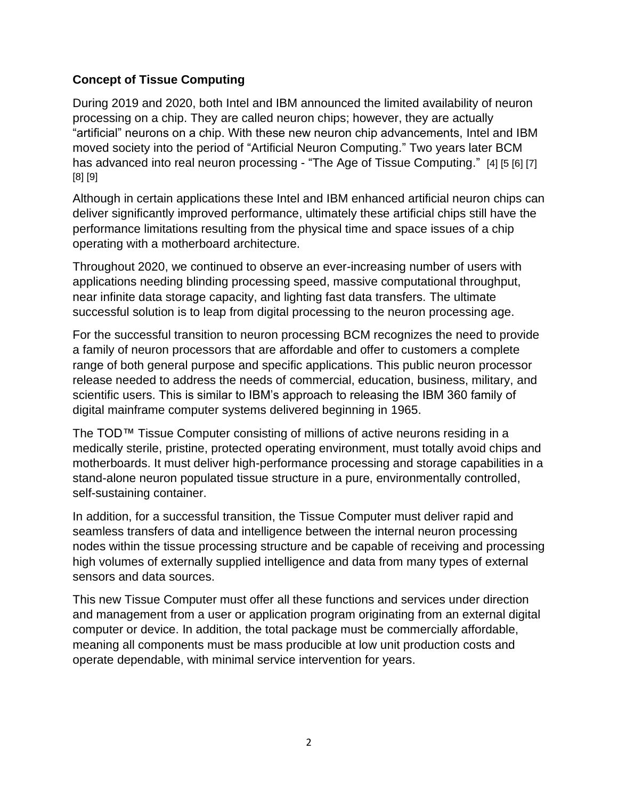#### **Concept of Tissue Computing**

During 2019 and 2020, both Intel and IBM announced the limited availability of neuron processing on a chip. They are called neuron chips; however, they are actually "artificial" neurons on a chip. With these new neuron chip advancements, Intel and IBM moved society into the period of "Artificial Neuron Computing." Two years later BCM has advanced into real neuron processing - "The Age of Tissue Computing." [4] [5 [6] [7] [8] [9]

Although in certain applications these Intel and IBM enhanced artificial neuron chips can deliver significantly improved performance, ultimately these artificial chips still have the performance limitations resulting from the physical time and space issues of a chip operating with a motherboard architecture.

Throughout 2020, we continued to observe an ever-increasing number of users with applications needing blinding processing speed, massive computational throughput, near infinite data storage capacity, and lighting fast data transfers. The ultimate successful solution is to leap from digital processing to the neuron processing age.

For the successful transition to neuron processing BCM recognizes the need to provide a family of neuron processors that are affordable and offer to customers a complete range of both general purpose and specific applications. This public neuron processor release needed to address the needs of commercial, education, business, military, and scientific users. This is similar to IBM's approach to releasing the IBM 360 family of digital mainframe computer systems delivered beginning in 1965.

The TOD™ Tissue Computer consisting of millions of active neurons residing in a medically sterile, pristine, protected operating environment, must totally avoid chips and motherboards. It must deliver high-performance processing and storage capabilities in a stand-alone neuron populated tissue structure in a pure, environmentally controlled, self-sustaining container.

In addition, for a successful transition, the Tissue Computer must deliver rapid and seamless transfers of data and intelligence between the internal neuron processing nodes within the tissue processing structure and be capable of receiving and processing high volumes of externally supplied intelligence and data from many types of external sensors and data sources.

This new Tissue Computer must offer all these functions and services under direction and management from a user or application program originating from an external digital computer or device. In addition, the total package must be commercially affordable, meaning all components must be mass producible at low unit production costs and operate dependable, with minimal service intervention for years.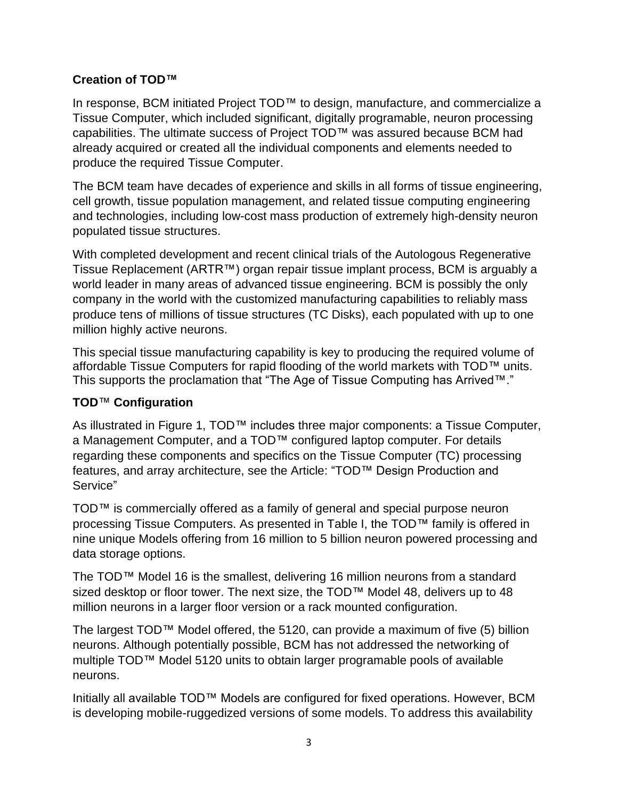#### **Creation of TOD™**

In response, BCM initiated Project TOD™ to design, manufacture, and commercialize a Tissue Computer, which included significant, digitally programable, neuron processing capabilities. The ultimate success of Project TOD™ was assured because BCM had already acquired or created all the individual components and elements needed to produce the required Tissue Computer.

The BCM team have decades of experience and skills in all forms of tissue engineering, cell growth, tissue population management, and related tissue computing engineering and technologies, including low-cost mass production of extremely high-density neuron populated tissue structures.

With completed development and recent clinical trials of the Autologous Regenerative Tissue Replacement (ARTR™) organ repair tissue implant process, BCM is arguably a world leader in many areas of advanced tissue engineering. BCM is possibly the only company in the world with the customized manufacturing capabilities to reliably mass produce tens of millions of tissue structures (TC Disks), each populated with up to one million highly active neurons.

This special tissue manufacturing capability is key to producing the required volume of affordable Tissue Computers for rapid flooding of the world markets with TOD™ units. This supports the proclamation that "The Age of Tissue Computing has Arrived™."

#### **TOD**™ **Configuration**

As illustrated in Figure 1, TOD™ includes three major components: a Tissue Computer, a Management Computer, and a TOD™ configured laptop computer. For details regarding these components and specifics on the Tissue Computer (TC) processing features, and array architecture, see the Article: "TOD™ Design Production and Service"

TOD™ is commercially offered as a family of general and special purpose neuron processing Tissue Computers. As presented in Table I, the TOD™ family is offered in nine unique Models offering from 16 million to 5 billion neuron powered processing and data storage options.

The TOD™ Model 16 is the smallest, delivering 16 million neurons from a standard sized desktop or floor tower. The next size, the TOD™ Model 48, delivers up to 48 million neurons in a larger floor version or a rack mounted configuration.

The largest  $TOD^T$  Model offered, the 5120, can provide a maximum of five (5) billion neurons. Although potentially possible, BCM has not addressed the networking of multiple TOD™ Model 5120 units to obtain larger programable pools of available neurons.

Initially all available TOD™ Models are configured for fixed operations. However, BCM is developing mobile-ruggedized versions of some models. To address this availability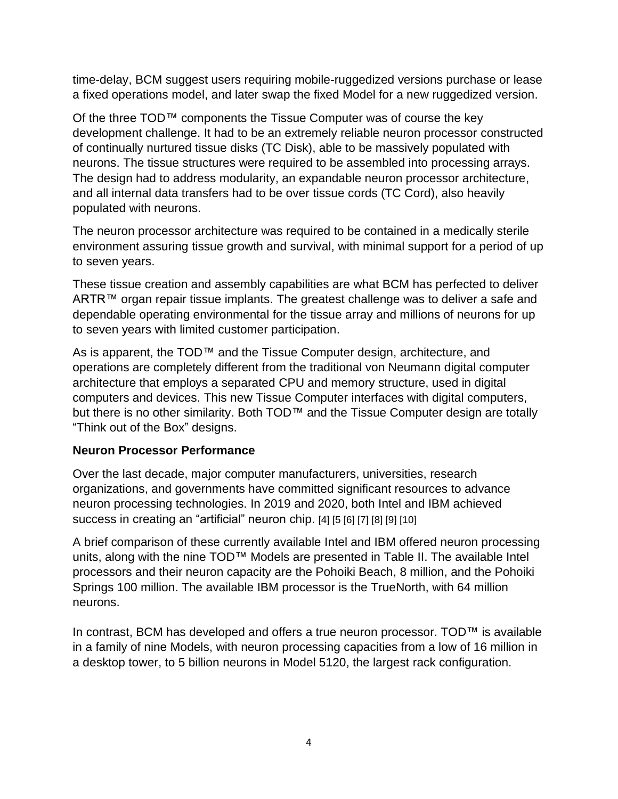time-delay, BCM suggest users requiring mobile-ruggedized versions purchase or lease a fixed operations model, and later swap the fixed Model for a new ruggedized version.

Of the three TOD™ components the Tissue Computer was of course the key development challenge. It had to be an extremely reliable neuron processor constructed of continually nurtured tissue disks (TC Disk), able to be massively populated with neurons. The tissue structures were required to be assembled into processing arrays. The design had to address modularity, an expandable neuron processor architecture, and all internal data transfers had to be over tissue cords (TC Cord), also heavily populated with neurons.

The neuron processor architecture was required to be contained in a medically sterile environment assuring tissue growth and survival, with minimal support for a period of up to seven years.

These tissue creation and assembly capabilities are what BCM has perfected to deliver ARTR™ organ repair tissue implants. The greatest challenge was to deliver a safe and dependable operating environmental for the tissue array and millions of neurons for up to seven years with limited customer participation.

As is apparent, the TOD™ and the Tissue Computer design, architecture, and operations are completely different from the traditional von Neumann digital computer architecture that employs a separated CPU and memory structure, used in digital computers and devices. This new Tissue Computer interfaces with digital computers, but there is no other similarity. Both TOD™ and the Tissue Computer design are totally "Think out of the Box" designs.

#### **Neuron Processor Performance**

Over the last decade, major computer manufacturers, universities, research organizations, and governments have committed significant resources to advance neuron processing technologies. In 2019 and 2020, both Intel and IBM achieved success in creating an "artificial" neuron chip. [4] [5 [6] [7] [8] [9] [10]

A brief comparison of these currently available Intel and IBM offered neuron processing units, along with the nine TOD™ Models are presented in Table II. The available Intel processors and their neuron capacity are the Pohoiki Beach, 8 million, and the Pohoiki Springs 100 million. The available IBM processor is the TrueNorth, with 64 million neurons.

In contrast, BCM has developed and offers a true neuron processor. TOD™ is available in a family of nine Models, with neuron processing capacities from a low of 16 million in a desktop tower, to 5 billion neurons in Model 5120, the largest rack configuration.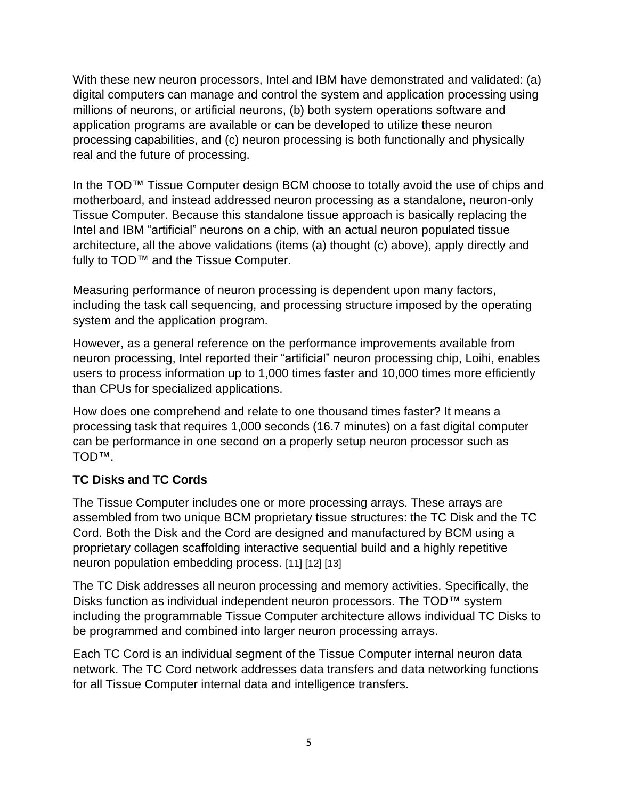With these new neuron processors, Intel and IBM have demonstrated and validated: (a) digital computers can manage and control the system and application processing using millions of neurons, or artificial neurons, (b) both system operations software and application programs are available or can be developed to utilize these neuron processing capabilities, and (c) neuron processing is both functionally and physically real and the future of processing.

In the TOD™ Tissue Computer design BCM choose to totally avoid the use of chips and motherboard, and instead addressed neuron processing as a standalone, neuron-only Tissue Computer. Because this standalone tissue approach is basically replacing the Intel and IBM "artificial" neurons on a chip, with an actual neuron populated tissue architecture, all the above validations (items (a) thought (c) above), apply directly and fully to TOD™ and the Tissue Computer.

Measuring performance of neuron processing is dependent upon many factors, including the task call sequencing, and processing structure imposed by the operating system and the application program.

However, as a general reference on the performance improvements available from neuron processing, Intel reported their "artificial" neuron processing chip, Loihi, enables users to process information up to 1,000 times faster and 10,000 times more efficiently than CPUs for specialized applications.

How does one comprehend and relate to one thousand times faster? It means a processing task that requires 1,000 seconds (16.7 minutes) on a fast digital computer can be performance in one second on a properly setup neuron processor such as TOD™.

#### **TC Disks and TC Cords**

The Tissue Computer includes one or more processing arrays. These arrays are assembled from two unique BCM proprietary tissue structures: the TC Disk and the TC Cord. Both the Disk and the Cord are designed and manufactured by BCM using a proprietary collagen scaffolding interactive sequential build and a highly repetitive neuron population embedding process. [11] [12] [13]

The TC Disk addresses all neuron processing and memory activities. Specifically, the Disks function as individual independent neuron processors. The TOD™ system including the programmable Tissue Computer architecture allows individual TC Disks to be programmed and combined into larger neuron processing arrays.

Each TC Cord is an individual segment of the Tissue Computer internal neuron data network. The TC Cord network addresses data transfers and data networking functions for all Tissue Computer internal data and intelligence transfers.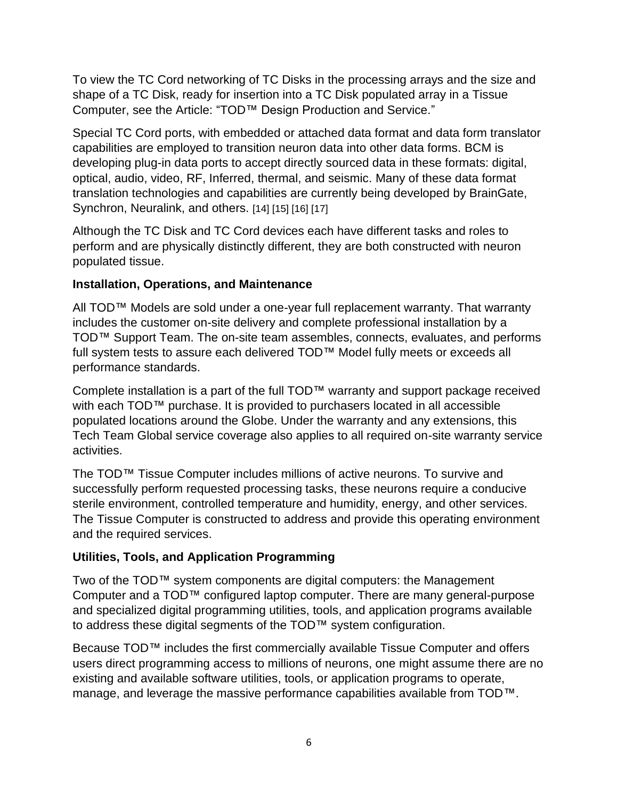To view the TC Cord networking of TC Disks in the processing arrays and the size and shape of a TC Disk, ready for insertion into a TC Disk populated array in a Tissue Computer, see the Article: "TOD™ Design Production and Service."

Special TC Cord ports, with embedded or attached data format and data form translator capabilities are employed to transition neuron data into other data forms. BCM is developing plug-in data ports to accept directly sourced data in these formats: digital, optical, audio, video, RF, Inferred, thermal, and seismic. Many of these data format translation technologies and capabilities are currently being developed by BrainGate, Synchron, Neuralink, and others. [14] [15] [16] [17]

Although the TC Disk and TC Cord devices each have different tasks and roles to perform and are physically distinctly different, they are both constructed with neuron populated tissue.

#### **Installation, Operations, and Maintenance**

All TOD™ Models are sold under a one-year full replacement warranty. That warranty includes the customer on-site delivery and complete professional installation by a TOD™ Support Team. The on-site team assembles, connects, evaluates, and performs full system tests to assure each delivered TOD™ Model fully meets or exceeds all performance standards.

Complete installation is a part of the full TOD™ warranty and support package received with each TOD™ purchase. It is provided to purchasers located in all accessible populated locations around the Globe. Under the warranty and any extensions, this Tech Team Global service coverage also applies to all required on-site warranty service activities.

The TOD™ Tissue Computer includes millions of active neurons. To survive and successfully perform requested processing tasks, these neurons require a conducive sterile environment, controlled temperature and humidity, energy, and other services. The Tissue Computer is constructed to address and provide this operating environment and the required services.

#### **Utilities, Tools, and Application Programming**

Two of the TOD™ system components are digital computers: the Management Computer and a TOD™ configured laptop computer. There are many general-purpose and specialized digital programming utilities, tools, and application programs available to address these digital segments of the TOD™ system configuration.

Because TOD™ includes the first commercially available Tissue Computer and offers users direct programming access to millions of neurons, one might assume there are no existing and available software utilities, tools, or application programs to operate, manage, and leverage the massive performance capabilities available from TOD™.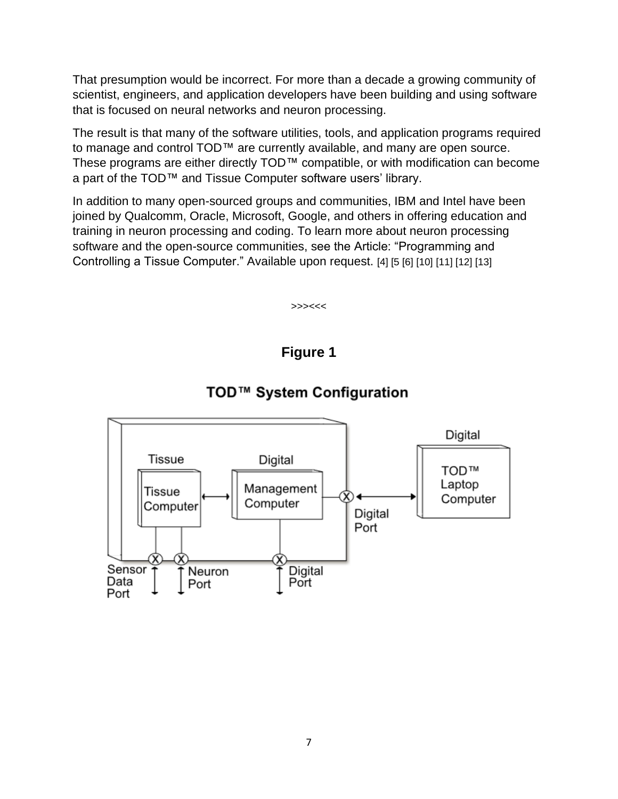That presumption would be incorrect. For more than a decade a growing community of scientist, engineers, and application developers have been building and using software that is focused on neural networks and neuron processing.

The result is that many of the software utilities, tools, and application programs required to manage and control TOD™ are currently available, and many are open source. These programs are either directly TOD™ compatible, or with modification can become a part of the TOD™ and Tissue Computer software users' library.

In addition to many open-sourced groups and communities, IBM and Intel have been joined by Qualcomm, Oracle, Microsoft, Google, and others in offering education and training in neuron processing and coding. To learn more about neuron processing software and the open-source communities, see the Article: "Programming and Controlling a Tissue Computer." Available upon request. [4] [5 [6] [10] [11] [12] [13]

>>><<<

**Figure 1**



#### TOD™ System Configuration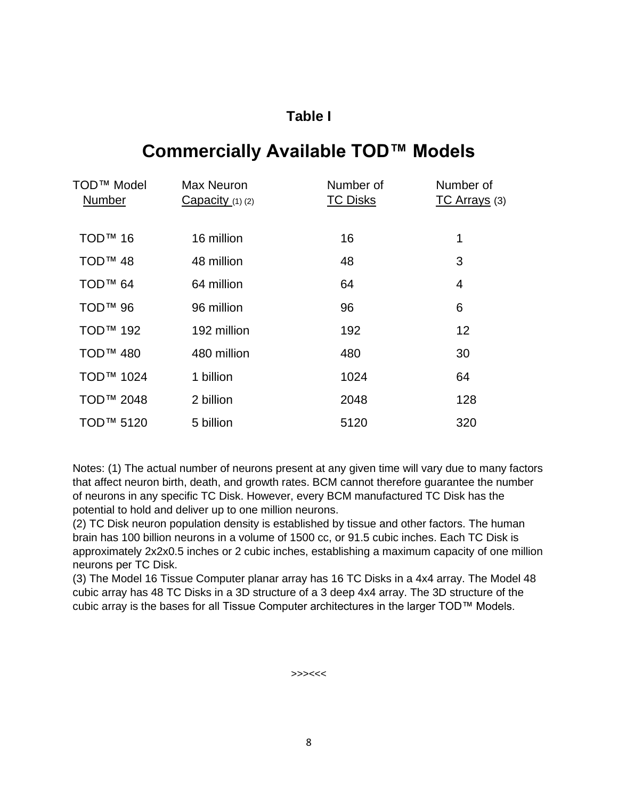# **Table I**

# **Commercially Available TOD™ Models**

| TOD™ Model<br>Number  | <b>Max Neuron</b><br>$Capacity(1)$ (2) | Number of<br><b>TC Disks</b> | Number of<br><b>TC Arrays</b> (3) |
|-----------------------|----------------------------------------|------------------------------|-----------------------------------|
| <b>TOD™ 16</b>        | 16 million                             | 16                           | 1                                 |
| TOD <sup>™</sup> 48   | 48 million                             | 48                           | 3                                 |
| TOD <sup>™</sup> 64   | 64 million                             | 64                           | 4                                 |
| <b>TOD™ 96</b>        | 96 million                             | 96                           | 6                                 |
| <b>TOD™ 192</b>       | 192 million                            | 192                          | 12                                |
| TOD <sup>™</sup> 480  | 480 million                            | 480                          | 30                                |
| TOD <sup>™</sup> 1024 | 1 billion                              | 1024                         | 64                                |
| TOD <sup>™</sup> 2048 | 2 billion                              | 2048                         | 128                               |
| TOD <sup>™</sup> 5120 | 5 billion                              | 5120                         | 320                               |

Notes: (1) The actual number of neurons present at any given time will vary due to many factors that affect neuron birth, death, and growth rates. BCM cannot therefore guarantee the number of neurons in any specific TC Disk. However, every BCM manufactured TC Disk has the potential to hold and deliver up to one million neurons.

(2) TC Disk neuron population density is established by tissue and other factors. The human brain has 100 billion neurons in a volume of 1500 cc, or 91.5 cubic inches. Each TC Disk is approximately 2x2x0.5 inches or 2 cubic inches, establishing a maximum capacity of one million neurons per TC Disk.

(3) The Model 16 Tissue Computer planar array has 16 TC Disks in a 4x4 array. The Model 48 cubic array has 48 TC Disks in a 3D structure of a 3 deep 4x4 array. The 3D structure of the cubic array is the bases for all Tissue Computer architectures in the larger TOD™ Models.

>>><<<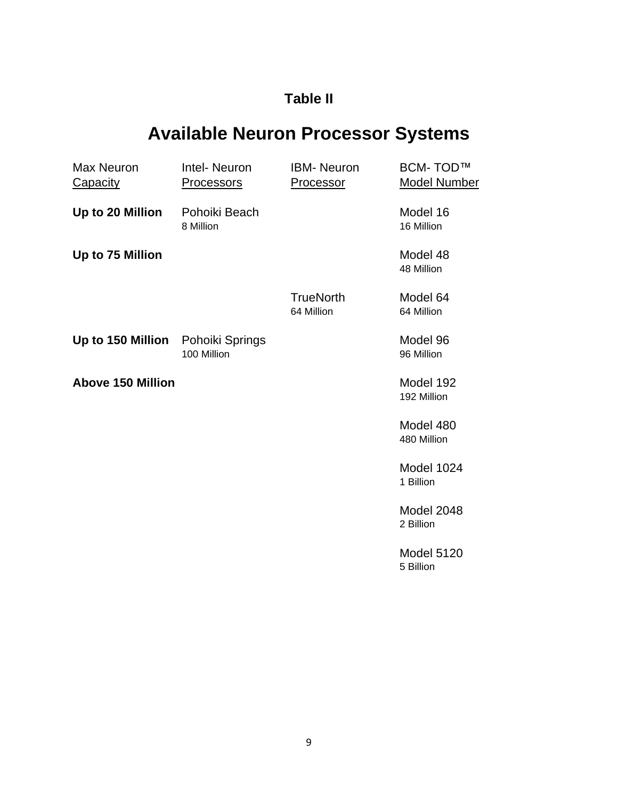# **Table II**

# **Available Neuron Processor Systems**

| Max Neuron<br><b>Capacity</b>     | Intel-Neuron<br><b>Processors</b> | <b>IBM-</b> Neuron<br>Processor | <b>BCM-TOD™</b><br><b>Model Number</b> |
|-----------------------------------|-----------------------------------|---------------------------------|----------------------------------------|
| Up to 20 Million                  | Pohoiki Beach<br>8 Million        |                                 | Model 16<br>16 Million                 |
| Up to 75 Million                  |                                   |                                 | Model 48<br>48 Million                 |
|                                   |                                   | <b>TrueNorth</b><br>64 Million  | Model 64<br>64 Million                 |
| Up to 150 Million Pohoiki Springs | 100 Million                       |                                 | Model 96<br>96 Million                 |
| <b>Above 150 Million</b>          |                                   |                                 | Model 192<br>192 Million               |
|                                   |                                   |                                 | Model 480<br>480 Million               |
|                                   |                                   |                                 | Model 1024<br>1 Billion                |
|                                   |                                   |                                 | Model 2048<br>2 Billion                |
|                                   |                                   |                                 | Model 5120<br>5 Billion                |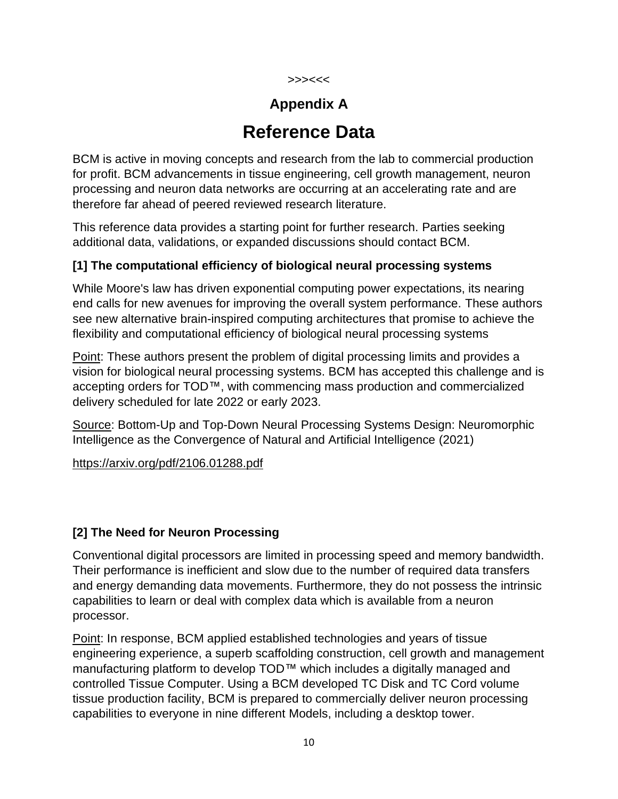#### >>><<<

# **Appendix A**

# **Reference Data**

BCM is active in moving concepts and research from the lab to commercial production for profit. BCM advancements in tissue engineering, cell growth management, neuron processing and neuron data networks are occurring at an accelerating rate and are therefore far ahead of peered reviewed research literature.

This reference data provides a starting point for further research. Parties seeking additional data, validations, or expanded discussions should contact BCM.

#### **[1] The computational efficiency of biological neural processing systems**

While Moore's law has driven exponential computing power expectations, its nearing end calls for new avenues for improving the overall system performance. These authors see new alternative brain-inspired computing architectures that promise to achieve the flexibility and computational efficiency of biological neural processing systems

Point: These authors present the problem of digital processing limits and provides a vision for biological neural processing systems. BCM has accepted this challenge and is accepting orders for TOD™, with commencing mass production and commercialized delivery scheduled for late 2022 or early 2023.

Source: Bottom-Up and Top-Down Neural Processing Systems Design: Neuromorphic Intelligence as the Convergence of Natural and Artificial Intelligence (2021)

<https://arxiv.org/pdf/2106.01288.pdf>

#### **[2] The Need for Neuron Processing**

Conventional digital processors are limited in processing speed and memory bandwidth. Their performance is inefficient and slow due to the number of required data transfers and energy demanding data movements. Furthermore, they do not possess the intrinsic capabilities to learn or deal with complex data which is available from a neuron processor.

Point: In response, BCM applied established technologies and years of tissue engineering experience, a superb scaffolding construction, cell growth and management manufacturing platform to develop TOD™ which includes a digitally managed and controlled Tissue Computer. Using a BCM developed TC Disk and TC Cord volume tissue production facility, BCM is prepared to commercially deliver neuron processing capabilities to everyone in nine different Models, including a desktop tower.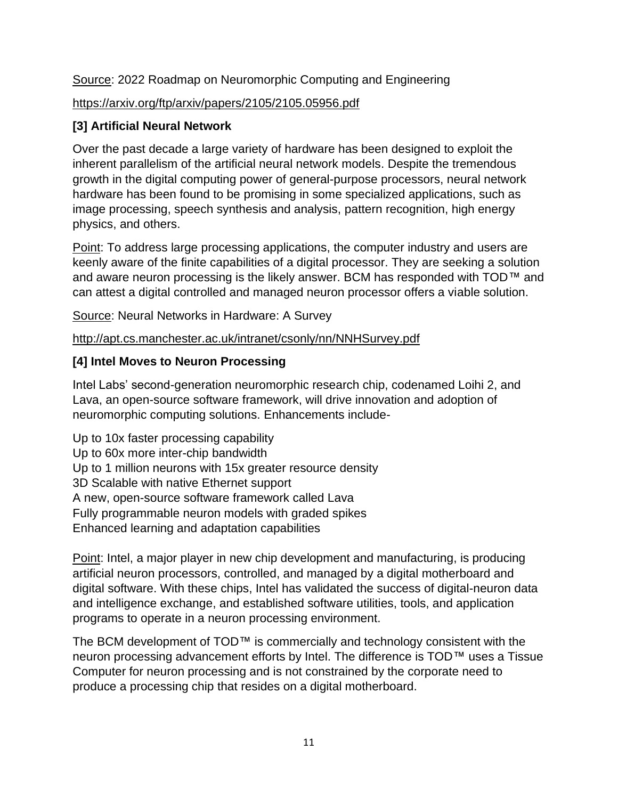#### Source: 2022 Roadmap on Neuromorphic Computing and Engineering

#### <https://arxiv.org/ftp/arxiv/papers/2105/2105.05956.pdf>

#### **[3] Artificial Neural Network**

Over the past decade a large variety of hardware has been designed to exploit the inherent parallelism of the artificial neural network models. Despite the tremendous growth in the digital computing power of general-purpose processors, neural network hardware has been found to be promising in some specialized applications, such as image processing, speech synthesis and analysis, pattern recognition, high energy physics, and others.

Point: To address large processing applications, the computer industry and users are keenly aware of the finite capabilities of a digital processor. They are seeking a solution and aware neuron processing is the likely answer. BCM has responded with TOD™ and can attest a digital controlled and managed neuron processor offers a viable solution.

Source: Neural Networks in Hardware: A Survey

<http://apt.cs.manchester.ac.uk/intranet/csonly/nn/NNHSurvey.pdf>

#### **[4] Intel Moves to Neuron Processing**

Intel Labs' second-generation neuromorphic research chip, codenamed Loihi 2, and Lava, an open-source software framework, will drive innovation and adoption of neuromorphic computing solutions. Enhancements include-

Up to 10x faster processing capability Up to 60x more inter-chip bandwidth Up to 1 million neurons with 15x greater resource density 3D Scalable with native Ethernet support A new, open-source software framework called Lava Fully programmable neuron models with graded spikes Enhanced learning and adaptation capabilities

Point: Intel, a major player in new chip development and manufacturing, is producing artificial neuron processors, controlled, and managed by a digital motherboard and digital software. With these chips, Intel has validated the success of digital-neuron data and intelligence exchange, and established software utilities, tools, and application programs to operate in a neuron processing environment.

The BCM development of TOD™ is commercially and technology consistent with the neuron processing advancement efforts by Intel. The difference is TOD™ uses a Tissue Computer for neuron processing and is not constrained by the corporate need to produce a processing chip that resides on a digital motherboard.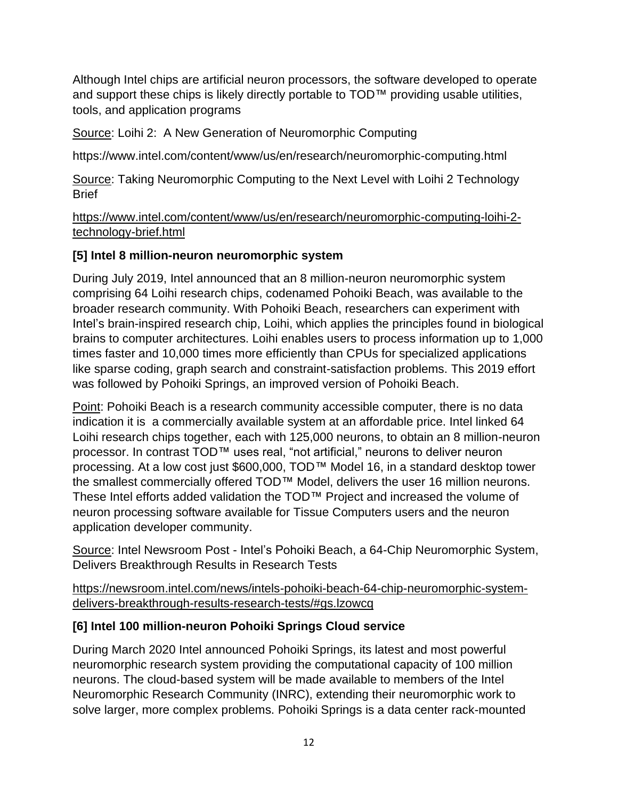Although Intel chips are artificial neuron processors, the software developed to operate and support these chips is likely directly portable to TOD™ providing usable utilities, tools, and application programs

Source: Loihi 2: A New Generation of Neuromorphic Computing

https://www.intel.com/content/www/us/en/research/neuromorphic-computing.html

Source: Taking Neuromorphic Computing to the Next Level with Loihi 2 Technology **Brief** 

[https://www.intel.com/content/www/us/en/research/neuromorphic-computing-loihi-2](https://www.intel.com/content/www/us/en/research/neuromorphic-computing-loihi-2-technology-brief.html) [technology-brief.html](https://www.intel.com/content/www/us/en/research/neuromorphic-computing-loihi-2-technology-brief.html)

#### **[5] Intel 8 million-neuron neuromorphic system**

During July 2019, Intel announced that an 8 million-neuron neuromorphic system comprising 64 Loihi research chips, codenamed Pohoiki Beach, was available to the broader research community. With Pohoiki Beach, researchers can experiment with Intel's brain-inspired research chip, Loihi, which applies the principles found in biological brains to computer architectures. Loihi enables users to process information up to 1,000 times faster and 10,000 times more efficiently than CPUs for specialized applications like sparse coding, graph search and constraint-satisfaction problems. This 2019 effort was followed by Pohoiki Springs, an improved version of Pohoiki Beach.

Point: Pohoiki Beach is a research community accessible computer, there is no data indication it is a commercially available system at an affordable price. Intel linked 64 Loihi research chips together, each with 125,000 neurons, to obtain an 8 million-neuron processor. In contrast TOD™ uses real, "not artificial," neurons to deliver neuron processing. At a low cost just \$600,000, TOD™ Model 16, in a standard desktop tower the smallest commercially offered TOD™ Model, delivers the user 16 million neurons. These Intel efforts added validation the TOD™ Project and increased the volume of neuron processing software available for Tissue Computers users and the neuron application developer community.

Source: Intel Newsroom Post - Intel's Pohoiki Beach, a 64-Chip Neuromorphic System, Delivers Breakthrough Results in Research Tests

[https://newsroom.intel.com/news/intels-pohoiki-beach-64-chip-neuromorphic-system](https://newsroom.intel.com/news/intels-pohoiki-beach-64-chip-neuromorphic-system-delivers-breakthrough-results-research-tests/#gs.lzowcq)[delivers-breakthrough-results-research-tests/#gs.lzowcq](https://newsroom.intel.com/news/intels-pohoiki-beach-64-chip-neuromorphic-system-delivers-breakthrough-results-research-tests/#gs.lzowcq)

#### **[6] Intel 100 million-neuron Pohoiki Springs Cloud service**

During March 2020 Intel announced Pohoiki Springs, its latest and most powerful neuromorphic research system providing the computational capacity of 100 million neurons. The cloud-based system will be made available to members of the Intel Neuromorphic Research Community (INRC), extending their neuromorphic work to solve larger, more complex problems. Pohoiki Springs is a data center rack-mounted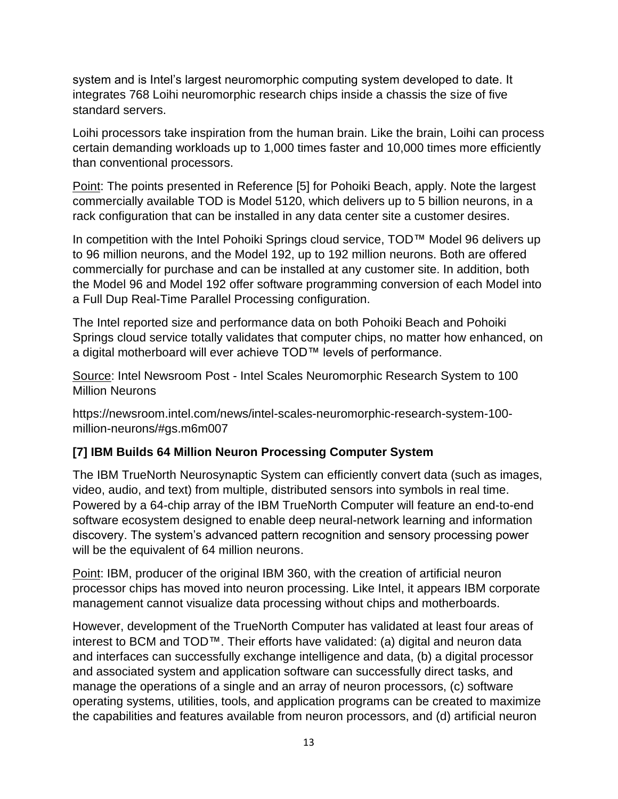system and is Intel's largest neuromorphic computing system developed to date. It integrates 768 Loihi neuromorphic research chips inside a chassis the size of five standard servers.

Loihi processors take inspiration from the human brain. Like the brain, Loihi can process certain demanding workloads up to 1,000 times faster and 10,000 times more efficiently than conventional processors.

Point: The points presented in Reference [5] for Pohoiki Beach, apply. Note the largest commercially available TOD is Model 5120, which delivers up to 5 billion neurons, in a rack configuration that can be installed in any data center site a customer desires.

In competition with the Intel Pohoiki Springs cloud service, TOD™ Model 96 delivers up to 96 million neurons, and the Model 192, up to 192 million neurons. Both are offered commercially for purchase and can be installed at any customer site. In addition, both the Model 96 and Model 192 offer software programming conversion of each Model into a Full Dup Real-Time Parallel Processing configuration.

The Intel reported size and performance data on both Pohoiki Beach and Pohoiki Springs cloud service totally validates that computer chips, no matter how enhanced, on a digital motherboard will ever achieve TOD™ levels of performance.

Source: Intel Newsroom Post - Intel Scales Neuromorphic Research System to 100 Million Neurons

https://newsroom.intel.com/news/intel-scales-neuromorphic-research-system-100 million-neurons/#gs.m6m007

#### **[7] IBM Builds 64 Million Neuron Processing Computer System**

The IBM TrueNorth Neurosynaptic System can efficiently convert data (such as images, video, audio, and text) from multiple, distributed sensors into symbols in real time. Powered by a 64-chip array of the IBM TrueNorth Computer will feature an end-to-end software ecosystem designed to enable deep neural-network learning and information discovery. The system's advanced pattern recognition and sensory processing power will be the equivalent of 64 million neurons.

Point: IBM, producer of the original IBM 360, with the creation of artificial neuron processor chips has moved into neuron processing. Like Intel, it appears IBM corporate management cannot visualize data processing without chips and motherboards.

However, development of the TrueNorth Computer has validated at least four areas of interest to BCM and TOD™. Their efforts have validated: (a) digital and neuron data and interfaces can successfully exchange intelligence and data, (b) a digital processor and associated system and application software can successfully direct tasks, and manage the operations of a single and an array of neuron processors, (c) software operating systems, utilities, tools, and application programs can be created to maximize the capabilities and features available from neuron processors, and (d) artificial neuron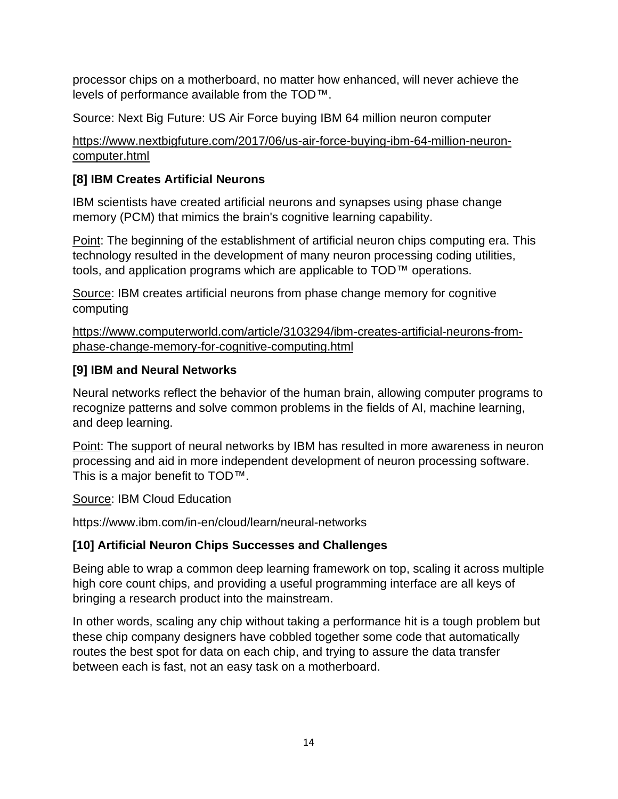processor chips on a motherboard, no matter how enhanced, will never achieve the levels of performance available from the TOD™.

Source: Next Big Future: US Air Force buying IBM 64 million neuron computer

[https://www.nextbigfuture.com/2017/06/us-air-force-buying-ibm-64-million-neuron](https://www.nextbigfuture.com/2017/06/us-air-force-buying-ibm-64-million-neuron-computer.html)[computer.html](https://www.nextbigfuture.com/2017/06/us-air-force-buying-ibm-64-million-neuron-computer.html)

### **[8] IBM Creates Artificial Neurons**

IBM scientists have created artificial neurons and synapses using phase change memory (PCM) that mimics the brain's cognitive learning capability.

Point: The beginning of the establishment of artificial neuron chips computing era. This technology resulted in the development of many neuron processing coding utilities, tools, and application programs which are applicable to TOD™ operations.

Source: IBM creates artificial neurons from phase change memory for cognitive computing

[https://www.computerworld.com/article/3103294/ibm-creates-artificial-neurons-from](https://www.computerworld.com/article/3103294/ibm-creates-artificial-neurons-from-phase-change-memory-for-cognitive-computing.html)[phase-change-memory-for-cognitive-computing.html](https://www.computerworld.com/article/3103294/ibm-creates-artificial-neurons-from-phase-change-memory-for-cognitive-computing.html)

#### **[9] IBM and Neural Networks**

Neural networks reflect the behavior of the human brain, allowing computer programs to recognize patterns and solve common problems in the fields of AI, machine learning, and deep learning.

Point: The support of neural networks by IBM has resulted in more awareness in neuron processing and aid in more independent development of neuron processing software. This is a major benefit to TOD™.

Source: IBM Cloud Education

https://www.ibm.com/in-en/cloud/learn/neural-networks

# **[10] Artificial Neuron Chips Successes and Challenges**

Being able to wrap a common deep learning framework on top, scaling it across multiple high core count chips, and providing a useful programming interface are all keys of bringing a research product into the mainstream.

In other words, scaling any chip without taking a performance hit is a tough problem but these chip company designers have cobbled together some code that automatically routes the best spot for data on each chip, and trying to assure the data transfer between each is fast, not an easy task on a motherboard.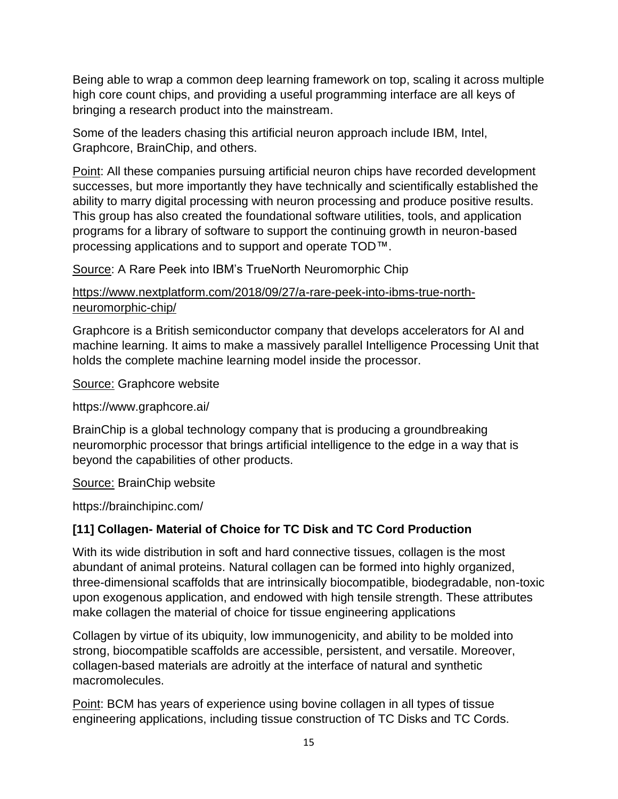Being able to wrap a common deep learning framework on top, scaling it across multiple high core count chips, and providing a useful programming interface are all keys of bringing a research product into the mainstream.

Some of the leaders chasing this artificial neuron approach include IBM, Intel, Graphcore, BrainChip, and others.

Point: All these companies pursuing artificial neuron chips have recorded development successes, but more importantly they have technically and scientifically established the ability to marry digital processing with neuron processing and produce positive results. This group has also created the foundational software utilities, tools, and application programs for a library of software to support the continuing growth in neuron-based processing applications and to support and operate TOD™.

Source: A Rare Peek into IBM's TrueNorth Neuromorphic Chip

#### [https://www.nextplatform.com/2018/09/27/a-rare-peek-into-ibms-true-north](https://www.nextplatform.com/2018/09/27/a-rare-peek-into-ibms-true-north-neuromorphic-chip/)[neuromorphic-chip/](https://www.nextplatform.com/2018/09/27/a-rare-peek-into-ibms-true-north-neuromorphic-chip/)

Graphcore is a British semiconductor company that develops accelerators for AI and machine learning. It aims to make a massively parallel Intelligence Processing Unit that holds the complete machine learning model inside the processor.

Source: Graphcore website

https://www.graphcore.ai/

BrainChip is a global technology company that is producing a groundbreaking neuromorphic processor that brings artificial intelligence to the edge in a way that is beyond the capabilities of other products.

Source: BrainChip website

https://brainchipinc.com/

#### **[11] Collagen- Material of Choice for TC Disk and TC Cord Production**

With its wide distribution in soft and hard connective tissues, collagen is the most abundant of animal proteins. Natural collagen can be formed into highly organized, three-dimensional scaffolds that are intrinsically biocompatible, biodegradable, non-toxic upon exogenous application, and endowed with high tensile strength. These attributes make collagen the material of choice for tissue engineering applications

Collagen by virtue of its ubiquity, low immunogenicity, and ability to be molded into strong, biocompatible scaffolds are accessible, persistent, and versatile. Moreover, collagen-based materials are adroitly at the interface of natural and synthetic macromolecules.

Point: BCM has years of experience using bovine collagen in all types of tissue engineering applications, including tissue construction of TC Disks and TC Cords.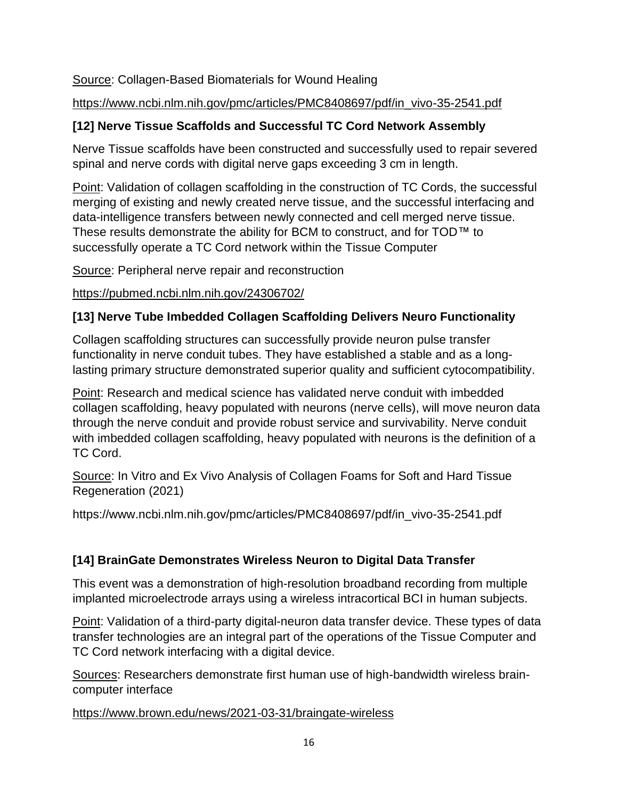#### Source: Collagen-Based Biomaterials for Wound Healing

#### [https://www.ncbi.nlm.nih.gov/pmc/articles/PMC8408697/pdf/in\\_vivo-35-2541.pdf](https://www.ncbi.nlm.nih.gov/pmc/articles/PMC8408697/pdf/in_vivo-35-2541.pdf)

#### **[12] Nerve Tissue Scaffolds and Successful TC Cord Network Assembly**

Nerve Tissue scaffolds have been constructed and successfully used to repair severed spinal and nerve cords with digital nerve gaps exceeding 3 cm in length.

Point: Validation of collagen scaffolding in the construction of TC Cords, the successful merging of existing and newly created nerve tissue, and the successful interfacing and data-intelligence transfers between newly connected and cell merged nerve tissue. These results demonstrate the ability for BCM to construct, and for TOD™ to successfully operate a TC Cord network within the Tissue Computer

Source: Peripheral nerve repair and reconstruction

#### <https://pubmed.ncbi.nlm.nih.gov/24306702/>

#### **[13] Nerve Tube Imbedded Collagen Scaffolding Delivers Neuro Functionality**

Collagen scaffolding structures can successfully provide neuron pulse transfer functionality in nerve conduit tubes. They have established a stable and as a longlasting primary structure demonstrated superior quality and sufficient cytocompatibility.

Point: Research and medical science has validated nerve conduit with imbedded collagen scaffolding, heavy populated with neurons (nerve cells), will move neuron data through the nerve conduit and provide robust service and survivability. Nerve conduit with imbedded collagen scaffolding, heavy populated with neurons is the definition of a TC Cord.

Source: In Vitro and Ex Vivo Analysis of Collagen Foams for Soft and Hard Tissue Regeneration (2021)

https://www.ncbi.nlm.nih.gov/pmc/articles/PMC8408697/pdf/in\_vivo-35-2541.pdf

# **[14] BrainGate Demonstrates Wireless Neuron to Digital Data Transfer**

This event was a demonstration of high-resolution broadband recording from multiple implanted microelectrode arrays using a wireless intracortical BCI in human subjects.

Point: Validation of a third-party digital-neuron data transfer device. These types of data transfer technologies are an integral part of the operations of the Tissue Computer and TC Cord network interfacing with a digital device.

Sources: Researchers demonstrate first human use of high-bandwidth wireless braincomputer interface

<https://www.brown.edu/news/2021-03-31/braingate-wireless>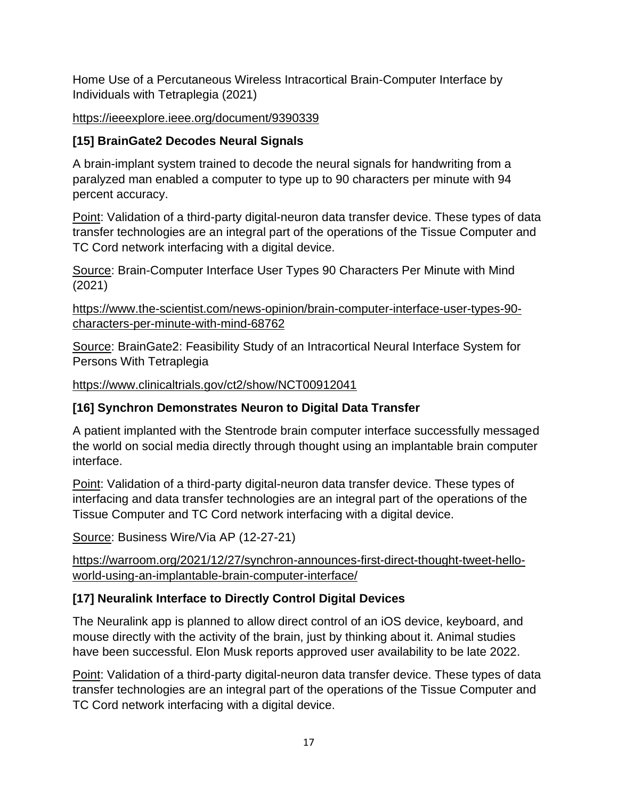Home Use of a Percutaneous Wireless Intracortical Brain-Computer Interface by Individuals with Tetraplegia (2021)

#### <https://ieeexplore.ieee.org/document/9390339>

## **[15] BrainGate2 Decodes Neural Signals**

A brain-implant system trained to decode the neural signals for handwriting from a paralyzed man enabled a computer to type up to 90 characters per minute with 94 percent accuracy.

Point: Validation of a third-party digital-neuron data transfer device. These types of data transfer technologies are an integral part of the operations of the Tissue Computer and TC Cord network interfacing with a digital device.

Source: Brain-Computer Interface User Types 90 Characters Per Minute with Mind (2021)

[https://www.the-scientist.com/news-opinion/brain-computer-interface-user-types-90](https://www.the-scientist.com/news-opinion/brain-computer-interface-user-types-90-characters-per-minute-with-mind-68762) [characters-per-minute-with-mind-68762](https://www.the-scientist.com/news-opinion/brain-computer-interface-user-types-90-characters-per-minute-with-mind-68762)

Source: BrainGate2: Feasibility Study of an Intracortical Neural Interface System for Persons With Tetraplegia

<https://www.clinicaltrials.gov/ct2/show/NCT00912041>

# **[16] Synchron Demonstrates Neuron to Digital Data Transfer**

A patient implanted with the Stentrode brain computer interface successfully messaged the world on social media directly through thought using an implantable brain computer interface.

Point: Validation of a third-party digital-neuron data transfer device. These types of interfacing and data transfer technologies are an integral part of the operations of the Tissue Computer and TC Cord network interfacing with a digital device.

Source: Business Wire/Via AP (12-27-21)

[https://warroom.org/2021/12/27/synchron-announces-first-direct-thought-tweet-hello](https://warroom.org/2021/12/27/synchron-announces-first-direct-thought-tweet-hello-world-using-an-implantable-brain-computer-interface/)[world-using-an-implantable-brain-computer-interface/](https://warroom.org/2021/12/27/synchron-announces-first-direct-thought-tweet-hello-world-using-an-implantable-brain-computer-interface/)

# **[17] Neuralink Interface to Directly Control Digital Devices**

The Neuralink app is planned to allow direct control of an iOS device, keyboard, and mouse directly with the activity of the brain, just by thinking about it. Animal studies have been successful. Elon Musk reports approved user availability to be late 2022.

Point: Validation of a third-party digital-neuron data transfer device. These types of data transfer technologies are an integral part of the operations of the Tissue Computer and TC Cord network interfacing with a digital device.